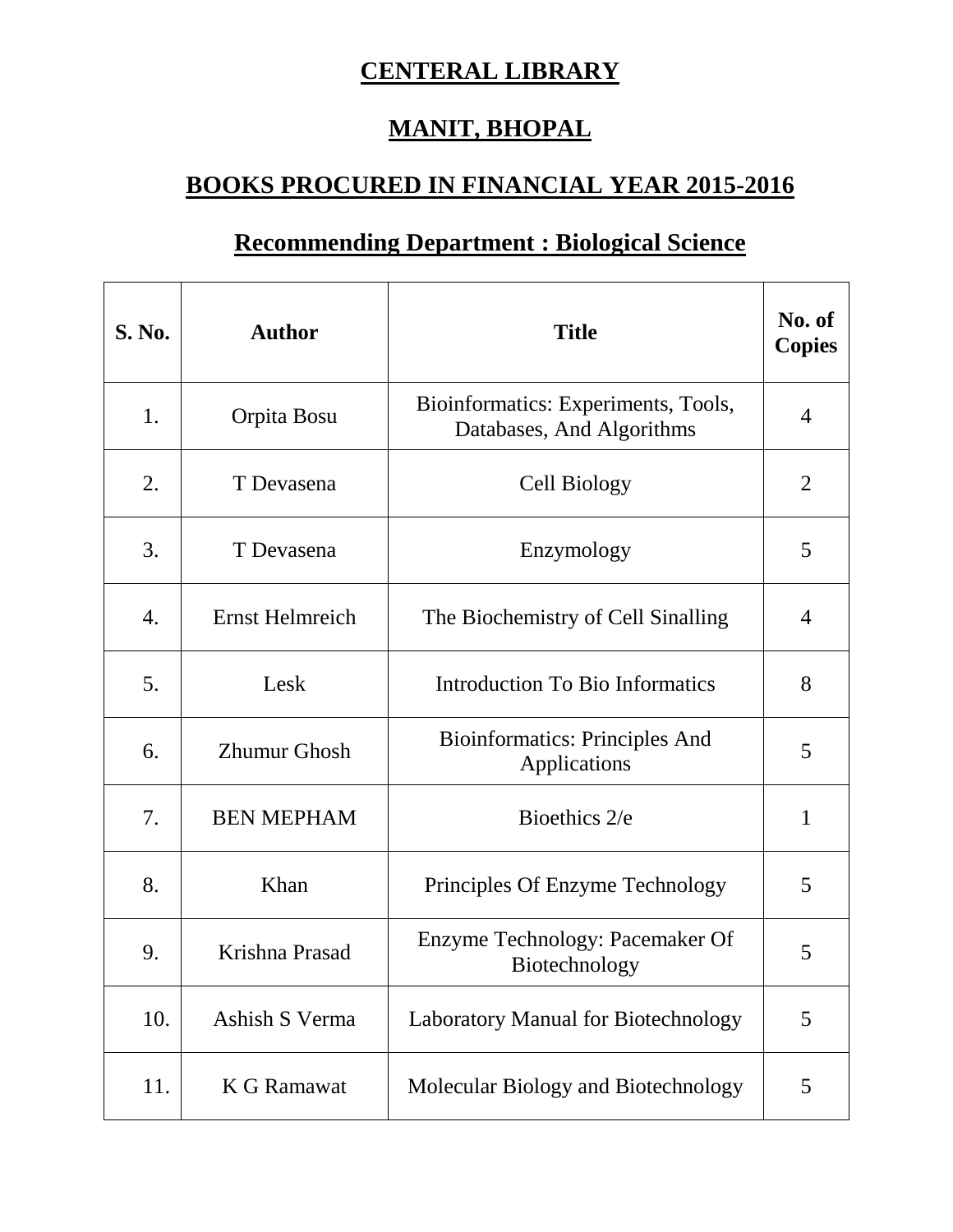## **CENTERAL LIBRARY**

## **MANIT, BHOPAL**

## **BOOKS PROCURED IN FINANCIAL YEAR 2015-2016**

## **Recommending Department : Biological Science**

| <b>S. No.</b>    | <b>Author</b>          | <b>Title</b>                                                     | No. of<br><b>Copies</b> |
|------------------|------------------------|------------------------------------------------------------------|-------------------------|
| 1.               | Orpita Bosu            | Bioinformatics: Experiments, Tools,<br>Databases, And Algorithms | $\overline{4}$          |
| 2.               | T Devasena             | Cell Biology                                                     | $\overline{2}$          |
| 3.               | T Devasena             | Enzymology                                                       | 5                       |
| $\overline{4}$ . | <b>Ernst Helmreich</b> | The Biochemistry of Cell Sinalling                               | $\overline{4}$          |
| 5.               | Lesk                   | <b>Introduction To Bio Informatics</b>                           | 8                       |
| 6.               | <b>Zhumur Ghosh</b>    | <b>Bioinformatics: Principles And</b><br>Applications            | 5                       |
| 7.               | <b>BEN MEPHAM</b>      | Bioethics 2/e                                                    | $\mathbf{1}$            |
| 8.               | Khan                   | Principles Of Enzyme Technology                                  | 5                       |
| 9.               | Krishna Prasad         | Enzyme Technology: Pacemaker Of<br>Biotechnology                 | 5                       |
| 10.              | Ashish S Verma         | <b>Laboratory Manual for Biotechnology</b>                       | 5                       |
| 11.              | <b>K G Ramawat</b>     | Molecular Biology and Biotechnology                              | 5                       |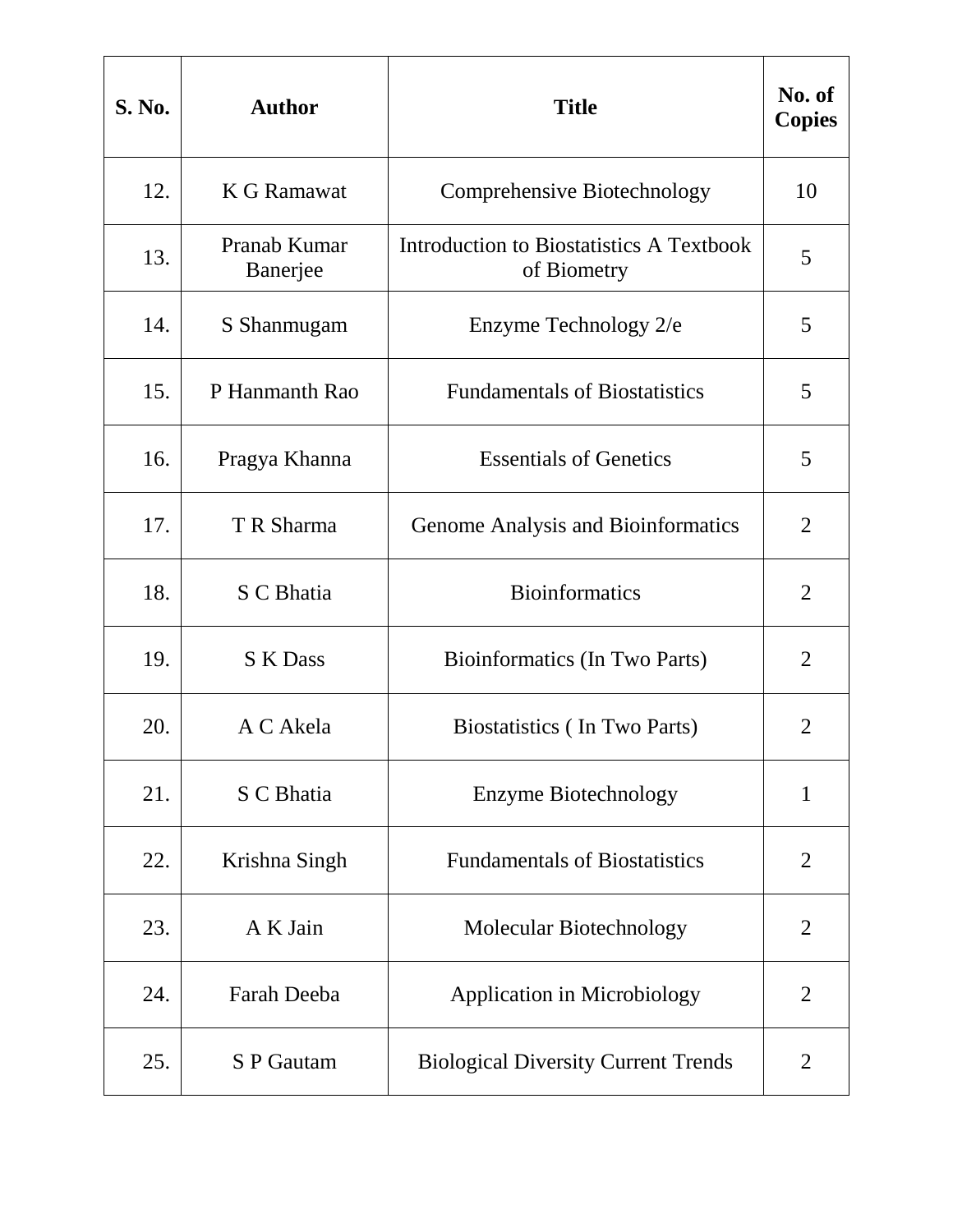| <b>S. No.</b> | <b>Author</b>            | <b>Title</b>                                            | No. of<br><b>Copies</b> |
|---------------|--------------------------|---------------------------------------------------------|-------------------------|
| 12.           | K G Ramawat              | Comprehensive Biotechnology                             | 10                      |
| 13.           | Pranab Kumar<br>Banerjee | Introduction to Biostatistics A Textbook<br>of Biometry | 5                       |
| 14.           | S Shanmugam              | Enzyme Technology 2/e                                   | 5                       |
| 15.           | P Hanmanth Rao           | <b>Fundamentals of Biostatistics</b>                    | 5                       |
| 16.           | Pragya Khanna            | <b>Essentials of Genetics</b>                           | 5                       |
| 17.           | T R Sharma               | Genome Analysis and Bioinformatics                      | $\overline{2}$          |
| 18.           | S C Bhatia               | <b>Bioinformatics</b>                                   | $\overline{2}$          |
| 19.           | <b>S</b> K Dass          | Bioinformatics (In Two Parts)                           | $\overline{2}$          |
| 20.           | A C Akela                | Biostatistics (In Two Parts)                            | $\overline{2}$          |
| 21.           | S C Bhatia               | <b>Enzyme Biotechnology</b>                             | $\mathbf{1}$            |
| 22.           | Krishna Singh            | <b>Fundamentals of Biostatistics</b>                    | $\overline{2}$          |
| 23.           | A K Jain                 | Molecular Biotechnology                                 | $\overline{2}$          |
| 24.           | Farah Deeba              | <b>Application in Microbiology</b>                      | $\overline{2}$          |
| 25.           | S P Gautam               | <b>Biological Diversity Current Trends</b>              | $\overline{2}$          |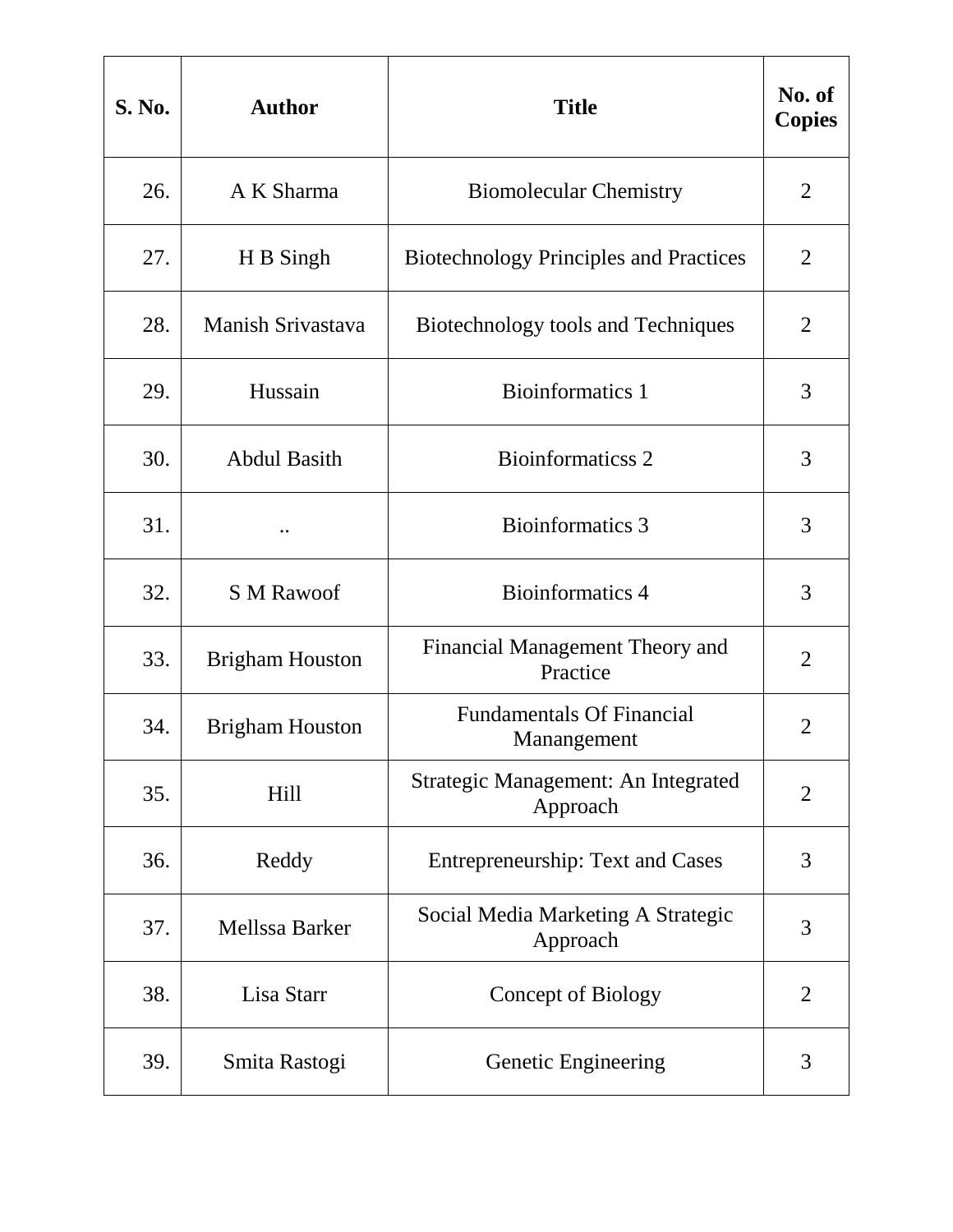| <b>S. No.</b> | <b>Author</b>          | <b>Title</b>                                    | No. of<br><b>Copies</b> |
|---------------|------------------------|-------------------------------------------------|-------------------------|
| 26.           | A K Sharma             | <b>Biomolecular Chemistry</b>                   | 2                       |
| 27.           | H B Singh              | <b>Biotechnology Principles and Practices</b>   | $\overline{2}$          |
| 28.           | Manish Srivastava      | Biotechnology tools and Techniques              | $\overline{2}$          |
| 29.           | Hussain                | <b>Bioinformatics 1</b>                         | 3                       |
| 30.           | <b>Abdul Basith</b>    | <b>Bioinformaticss 2</b>                        | 3                       |
| 31.           |                        | Bioinformatics 3                                | 3                       |
| 32.           | <b>S M Rawoof</b>      | Bioinformatics 4                                | 3                       |
| 33.           | <b>Brigham Houston</b> | Financial Management Theory and<br>Practice     | $\overline{2}$          |
| 34.           | <b>Brigham Houston</b> | <b>Fundamentals Of Financial</b><br>Manangement | $\overline{2}$          |
| 35.           | <b>Hill</b>            | Strategic Management: An Integrated<br>Approach | $\overline{2}$          |
| 36.           | Reddy                  | <b>Entrepreneurship: Text and Cases</b>         | 3                       |
| 37.           | Mellssa Barker         | Social Media Marketing A Strategic<br>Approach  | 3                       |
| 38.           | Lisa Starr             | <b>Concept of Biology</b>                       | $\overline{2}$          |
| 39.           | Smita Rastogi          | Genetic Engineering                             | 3                       |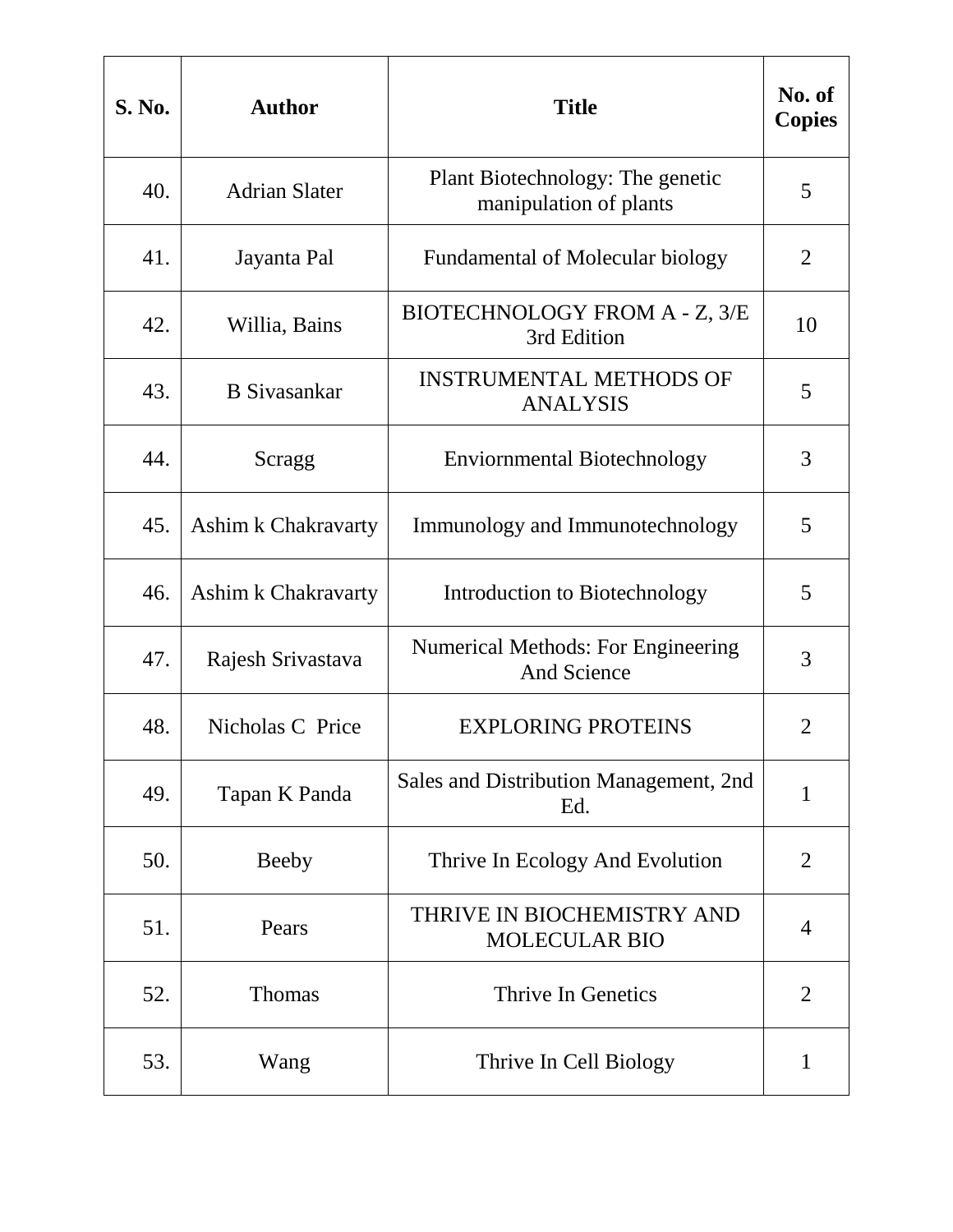| <b>S. No.</b> | <b>Author</b>        | <b>Title</b>                                                    | No. of<br><b>Copies</b> |
|---------------|----------------------|-----------------------------------------------------------------|-------------------------|
| 40.           | <b>Adrian Slater</b> | Plant Biotechnology: The genetic<br>manipulation of plants      | 5                       |
| 41.           | Jayanta Pal          | <b>Fundamental of Molecular biology</b>                         | 2                       |
| 42.           | Willia, Bains        | BIOTECHNOLOGY FROM A - Z, 3/E<br>3rd Edition                    | 10                      |
| 43.           | <b>B</b> Sivasankar  | <b>INSTRUMENTAL METHODS OF</b><br><b>ANALYSIS</b>               | 5                       |
| 44.           | Scragg               | <b>Enviornmental Biotechnology</b>                              | 3                       |
| 45.           | Ashim k Chakravarty  | Immunology and Immunotechnology                                 | 5                       |
| 46.           | Ashim k Chakravarty  | Introduction to Biotechnology                                   | 5                       |
| 47.           | Rajesh Srivastava    | <b>Numerical Methods: For Engineering</b><br><b>And Science</b> | 3                       |
| 48.           | Nicholas C Price     | <b>EXPLORING PROTEINS</b>                                       | $\overline{2}$          |
| 49.           | Tapan K Panda        | Sales and Distribution Management, 2nd<br>Ed.                   | $\mathbf{1}$            |
| 50.           | <b>Beeby</b>         | Thrive In Ecology And Evolution                                 | $\overline{2}$          |
| 51.           | Pears                | THRIVE IN BIOCHEMISTRY AND<br><b>MOLECULAR BIO</b>              | 4                       |
| 52.           | <b>Thomas</b>        | Thrive In Genetics                                              | $\overline{2}$          |
| 53.           | Wang                 | Thrive In Cell Biology                                          | $\mathbf{1}$            |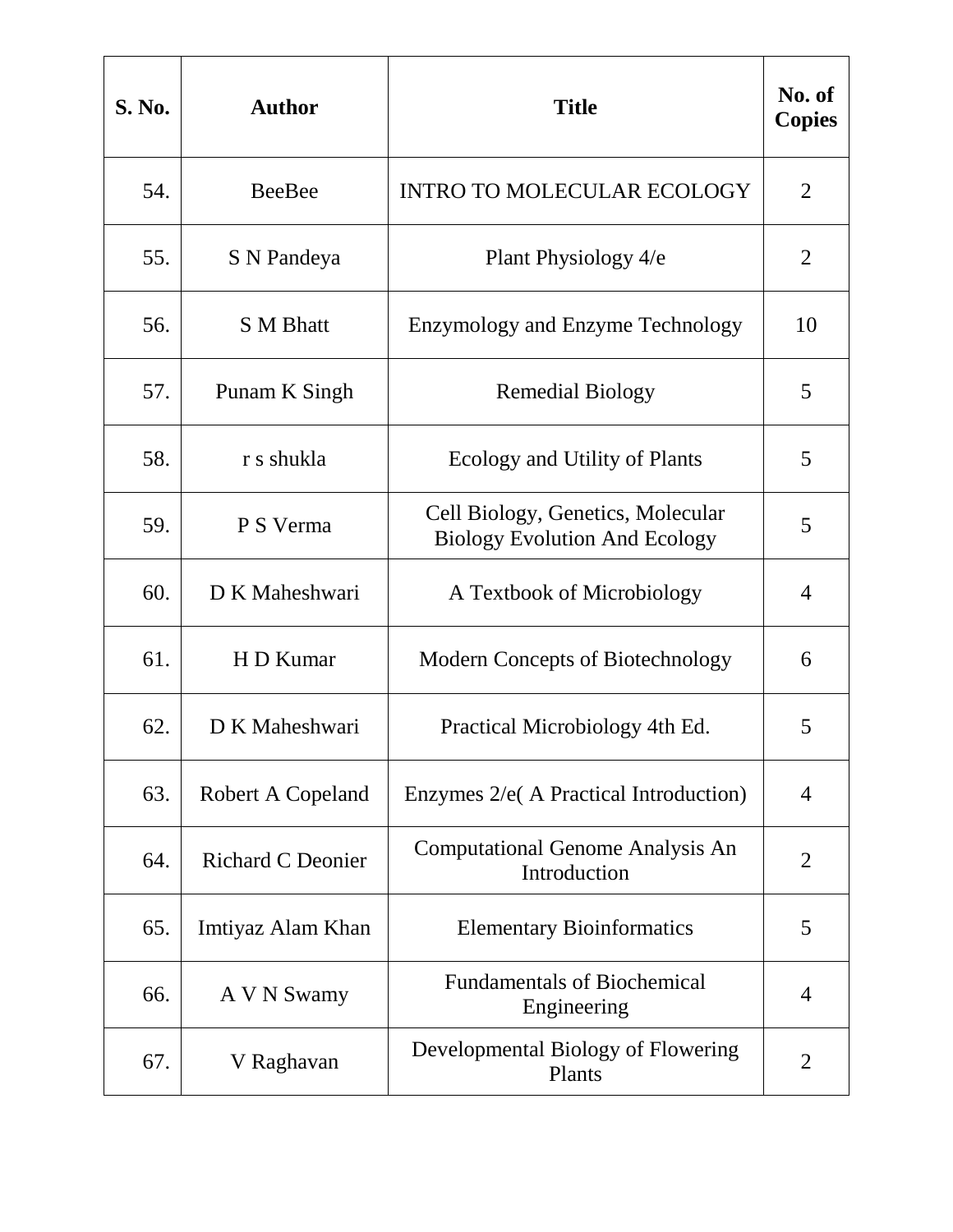| <b>S. No.</b> | <b>Author</b>            | <b>Title</b>                                                              | No. of<br><b>Copies</b> |
|---------------|--------------------------|---------------------------------------------------------------------------|-------------------------|
| 54.           | <b>BeeBee</b>            | <b>INTRO TO MOLECULAR ECOLOGY</b>                                         | $\overline{2}$          |
| 55.           | S N Pandeya              | Plant Physiology 4/e                                                      | 2                       |
| 56.           | <b>S</b> M Bhatt         | <b>Enzymology and Enzyme Technology</b>                                   | 10                      |
| 57.           | Punam K Singh            | <b>Remedial Biology</b>                                                   | 5                       |
| 58.           | r s shukla               | Ecology and Utility of Plants                                             | 5                       |
| 59.           | P S Verma                | Cell Biology, Genetics, Molecular<br><b>Biology Evolution And Ecology</b> | 5                       |
| 60.           | D K Maheshwari           | A Textbook of Microbiology                                                | 4                       |
| 61.           | H D Kumar                | <b>Modern Concepts of Biotechnology</b>                                   | 6                       |
| 62.           | D K Maheshwari           | Practical Microbiology 4th Ed.                                            | 5                       |
| 63.           | Robert A Copeland        | Enzymes 2/e( A Practical Introduction)                                    | $\overline{4}$          |
| 64.           | <b>Richard C Deonier</b> | <b>Computational Genome Analysis An</b><br>Introduction                   | $\overline{2}$          |
| 65.           | Imtiyaz Alam Khan        | <b>Elementary Bioinformatics</b>                                          | 5                       |
| 66.           | A V N Swamy              | <b>Fundamentals of Biochemical</b><br>Engineering                         | 4                       |
| 67.           | V Raghavan               | Developmental Biology of Flowering<br>Plants                              | 2                       |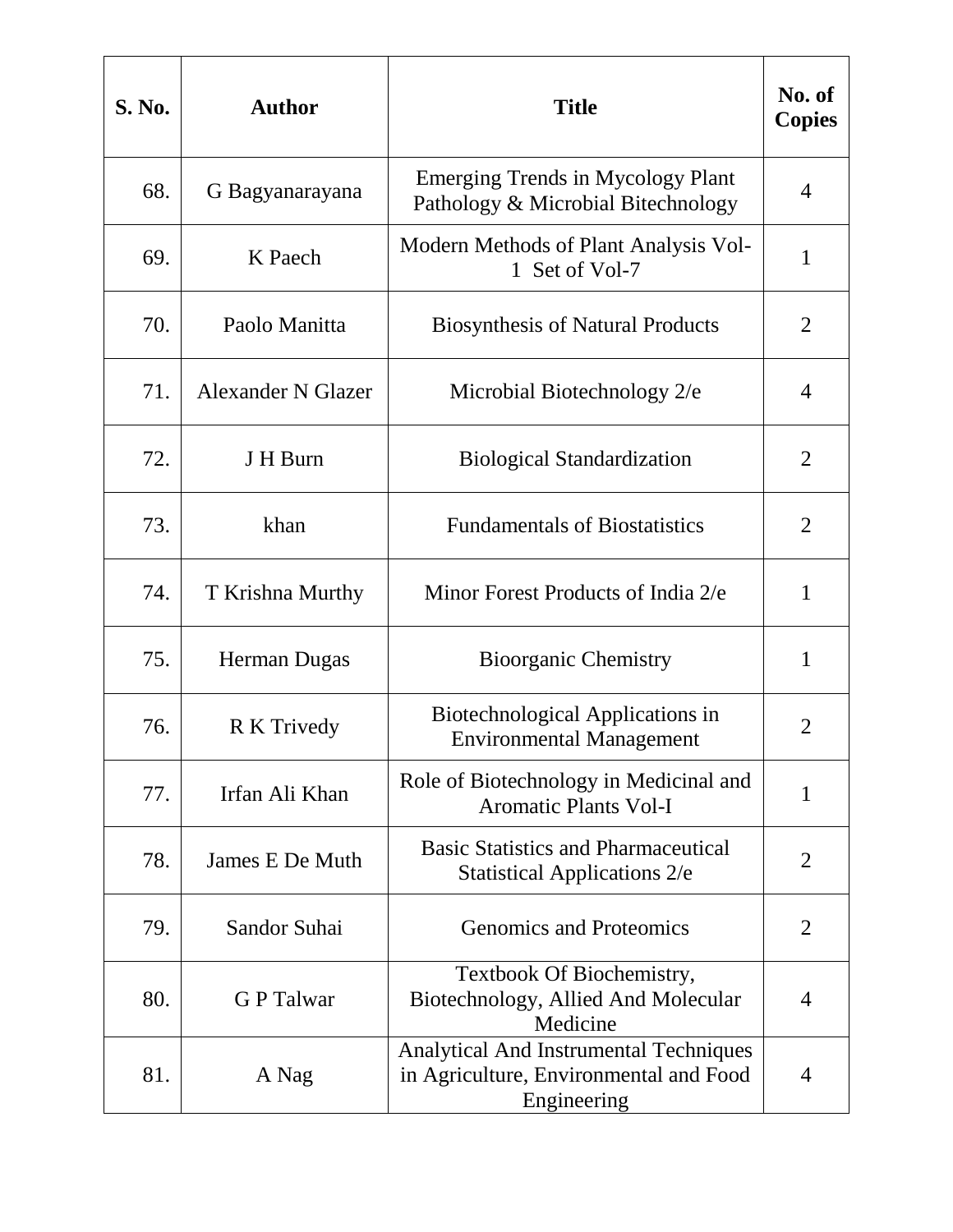| <b>S. No.</b> | <b>Author</b>      | <b>Title</b>                                                                                           | No. of<br><b>Copies</b> |
|---------------|--------------------|--------------------------------------------------------------------------------------------------------|-------------------------|
| 68.           | G Bagyanarayana    | <b>Emerging Trends in Mycology Plant</b><br>Pathology & Microbial Bitechnology                         | 4                       |
| 69.           | K Paech            | Modern Methods of Plant Analysis Vol-<br>1 Set of Vol-7                                                | 1                       |
| 70.           | Paolo Manitta      | <b>Biosynthesis of Natural Products</b>                                                                | $\overline{2}$          |
| 71.           | Alexander N Glazer | Microbial Biotechnology 2/e                                                                            | 4                       |
| 72.           | J H Burn           | <b>Biological Standardization</b>                                                                      | $\overline{2}$          |
| 73.           | khan               | <b>Fundamentals of Biostatistics</b>                                                                   | $\overline{2}$          |
| 74.           | T Krishna Murthy   | Minor Forest Products of India 2/e                                                                     | 1                       |
| 75.           | Herman Dugas       | <b>Bioorganic Chemistry</b>                                                                            | $\mathbf{1}$            |
| 76.           | R K Trivedy        | Biotechnological Applications in<br><b>Environmental Management</b>                                    | 2                       |
| 77.           | Irfan Ali Khan     | Role of Biotechnology in Medicinal and<br><b>Aromatic Plants Vol-I</b>                                 | $\mathbf{1}$            |
| 78.           | James E De Muth    | <b>Basic Statistics and Pharmaceutical</b><br><b>Statistical Applications 2/e</b>                      | $\overline{2}$          |
| 79.           | Sandor Suhai       | <b>Genomics and Proteomics</b>                                                                         | $\overline{2}$          |
| 80.           | <b>GP</b> Talwar   | Textbook Of Biochemistry,<br>Biotechnology, Allied And Molecular<br>Medicine                           | 4                       |
| 81.           | A Nag              | <b>Analytical And Instrumental Techniques</b><br>in Agriculture, Environmental and Food<br>Engineering | $\overline{4}$          |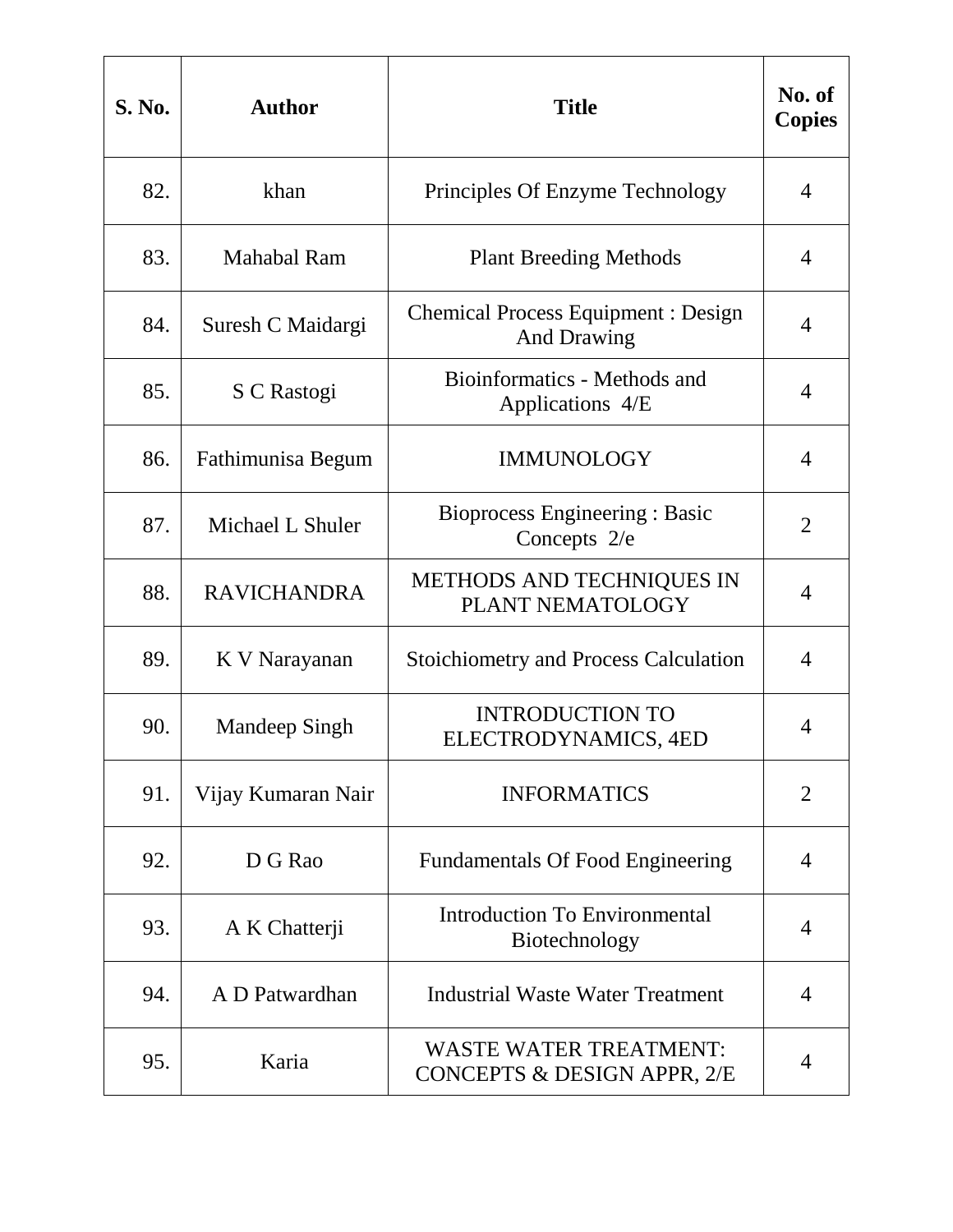| <b>S. No.</b> | <b>Author</b>      | <b>Title</b>                                                    | No. of<br><b>Copies</b> |
|---------------|--------------------|-----------------------------------------------------------------|-------------------------|
| 82.           | khan               | Principles Of Enzyme Technology                                 | 4                       |
| 83.           | <b>Mahabal Ram</b> | <b>Plant Breeding Methods</b>                                   | 4                       |
| 84.           | Suresh C Maidargi  | <b>Chemical Process Equipment: Design</b><br><b>And Drawing</b> | $\overline{4}$          |
| 85.           | S C Rastogi        | Bioinformatics - Methods and<br>Applications 4/E                | 4                       |
| 86.           | Fathimunisa Begum  | <b>IMMUNOLOGY</b>                                               | $\overline{4}$          |
| 87.           | Michael L Shuler   | Bioprocess Engineering : Basic<br>Concepts 2/e                  | $\overline{2}$          |
| 88.           | <b>RAVICHANDRA</b> | METHODS AND TECHNIQUES IN<br>PLANT NEMATOLOGY                   | 4                       |
| 89.           | K V Narayanan      | <b>Stoichiometry and Process Calculation</b>                    | 4                       |
| 90.           | Mandeep Singh      | <b>INTRODUCTION TO</b><br>ELECTRODYNAMICS, 4ED                  | 4                       |
| 91.           | Vijay Kumaran Nair | <b>INFORMATICS</b>                                              | $\overline{2}$          |
| 92.           | D G Rao            | <b>Fundamentals Of Food Engineering</b>                         | $\overline{4}$          |
| 93.           | A K Chatterji      | <b>Introduction To Environmental</b><br>Biotechnology           | 4                       |
| 94.           | A D Patwardhan     | Industrial Waste Water Treatment                                | 4                       |
| 95.           | Karia              | <b>WASTE WATER TREATMENT:</b><br>CONCEPTS & DESIGN APPR, 2/E    | 4                       |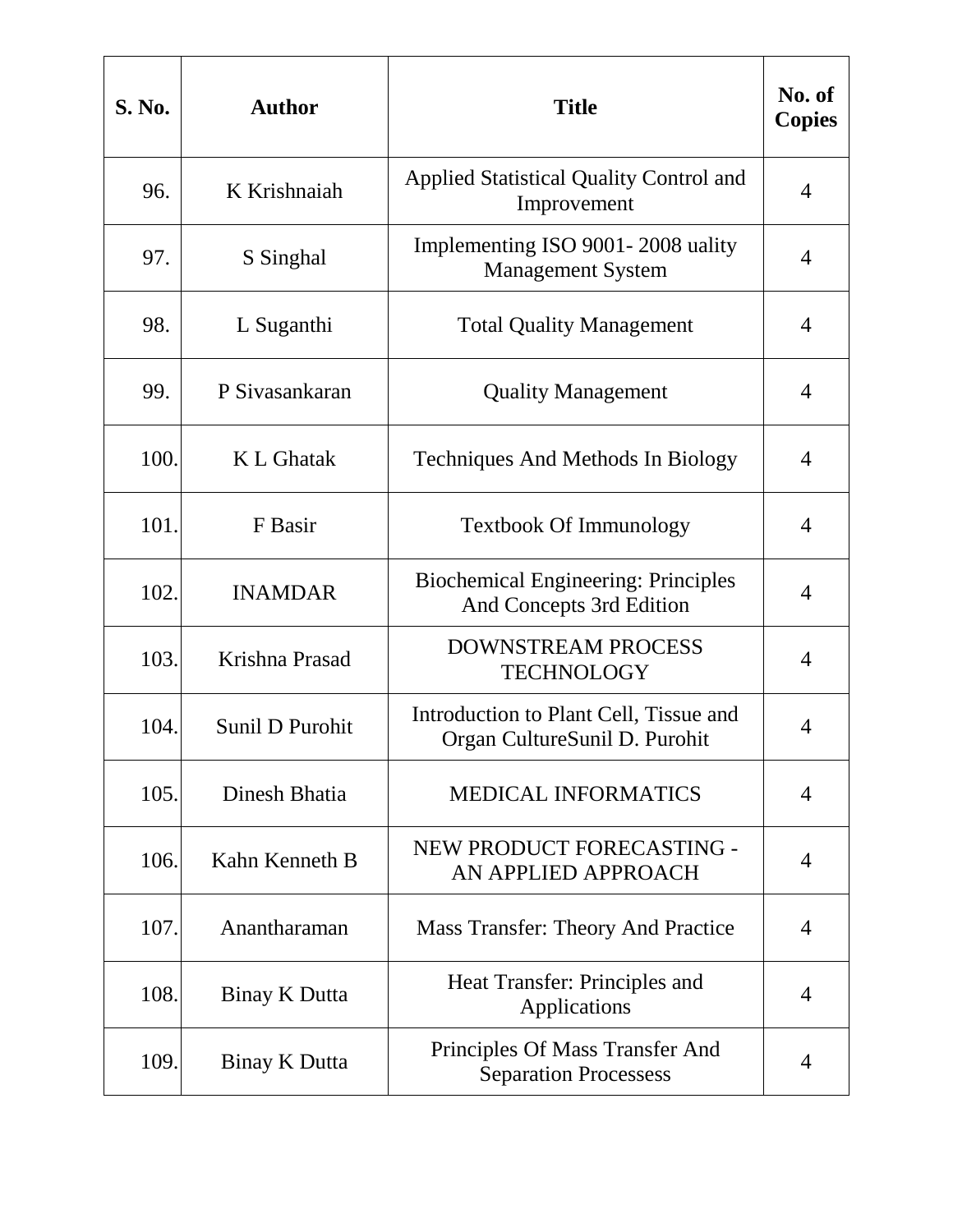| <b>S. No.</b> | <b>Author</b>   | <b>Title</b>                                                            | No. of<br><b>Copies</b> |
|---------------|-----------------|-------------------------------------------------------------------------|-------------------------|
| 96.           | K Krishnaiah    | <b>Applied Statistical Quality Control and</b><br>Improvement           | 4                       |
| 97.           | S Singhal       | Implementing ISO 9001-2008 uality<br><b>Management System</b>           | 4                       |
| 98.           | L Suganthi      | <b>Total Quality Management</b>                                         | 4                       |
| 99.           | P Sivasankaran  | <b>Quality Management</b>                                               | 4                       |
| 100.          | K L Ghatak      | <b>Techniques And Methods In Biology</b>                                | 4                       |
| 101.          | F Basir         | <b>Textbook Of Immunology</b>                                           | 4                       |
| 102.          | <b>INAMDAR</b>  | <b>Biochemical Engineering: Principles</b><br>And Concepts 3rd Edition  | 4                       |
| 103.          | Krishna Prasad  | DOWNSTREAM PROCESS<br><b>TECHNOLOGY</b>                                 | 4                       |
| 104.          | Sunil D Purohit | Introduction to Plant Cell, Tissue and<br>Organ CultureSunil D. Purohit | 4                       |
| 105.          | Dinesh Bhatia   | <b>MEDICAL INFORMATICS</b>                                              | 4                       |
| 106.          | Kahn Kenneth B  | NEW PRODUCT FORECASTING -<br>AN APPLIED APPROACH                        | $\overline{4}$          |
| 107.          | Anantharaman    | <b>Mass Transfer: Theory And Practice</b>                               | 4                       |
| 108.          | Binay K Dutta   | Heat Transfer: Principles and<br>Applications                           | 4                       |
| 109.          | Binay K Dutta   | Principles Of Mass Transfer And<br><b>Separation Processess</b>         | 4                       |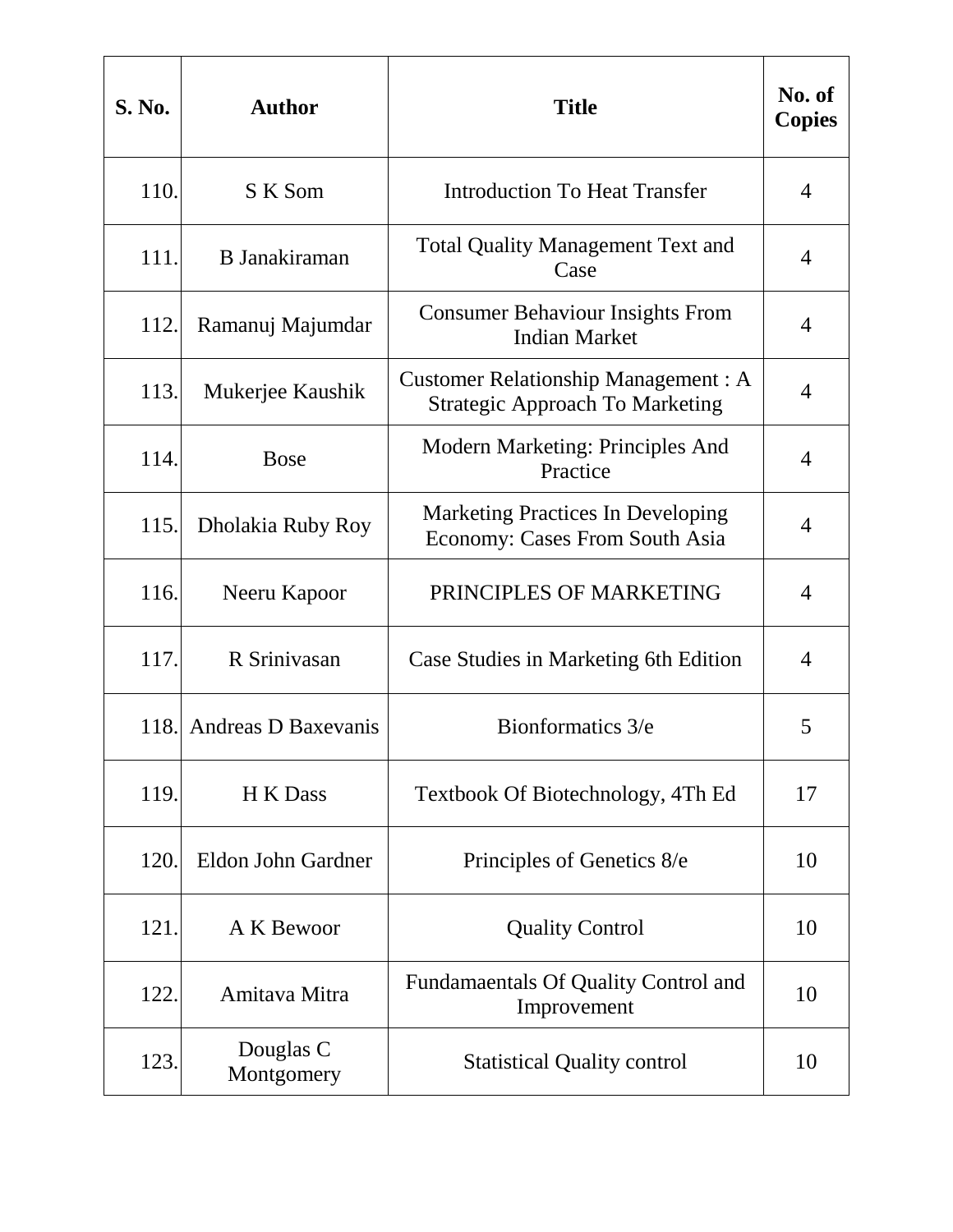| <b>S. No.</b> | <b>Author</b>           | <b>Title</b>                                                                         | No. of<br><b>Copies</b> |
|---------------|-------------------------|--------------------------------------------------------------------------------------|-------------------------|
| 110.          | S K Som                 | <b>Introduction To Heat Transfer</b>                                                 | 4                       |
| 111.          | <b>B</b> Janakiraman    | <b>Total Quality Management Text and</b><br>Case                                     | 4                       |
| 112.          | Ramanuj Majumdar        | <b>Consumer Behaviour Insights From</b><br><b>Indian Market</b>                      | 4                       |
| 113.          | Mukerjee Kaushik        | <b>Customer Relationship Management: A</b><br><b>Strategic Approach To Marketing</b> | 4                       |
| 114.          | <b>Bose</b>             | <b>Modern Marketing: Principles And</b><br>Practice                                  | 4                       |
| 115.          | Dholakia Ruby Roy       | <b>Marketing Practices In Developing</b><br><b>Economy: Cases From South Asia</b>    | 4                       |
| 116.          | Neeru Kapoor            | PRINCIPLES OF MARKETING                                                              | 4                       |
| 117.          | R Srinivasan            | Case Studies in Marketing 6th Edition                                                | 4                       |
| 118.          | Andreas D Baxevanis     | Bionformatics 3/e                                                                    | 5                       |
| 119.          | H K Dass                | Textbook Of Biotechnology, 4Th Ed                                                    | 17                      |
| 120.          | Eldon John Gardner      | Principles of Genetics 8/e                                                           | 10                      |
| 121.          | A K Bewoor              | <b>Quality Control</b>                                                               | 10                      |
| 122.          | Amitava Mitra           | Fundamaentals Of Quality Control and<br>Improvement                                  | 10                      |
| 123.          | Douglas C<br>Montgomery | <b>Statistical Quality control</b>                                                   | 10                      |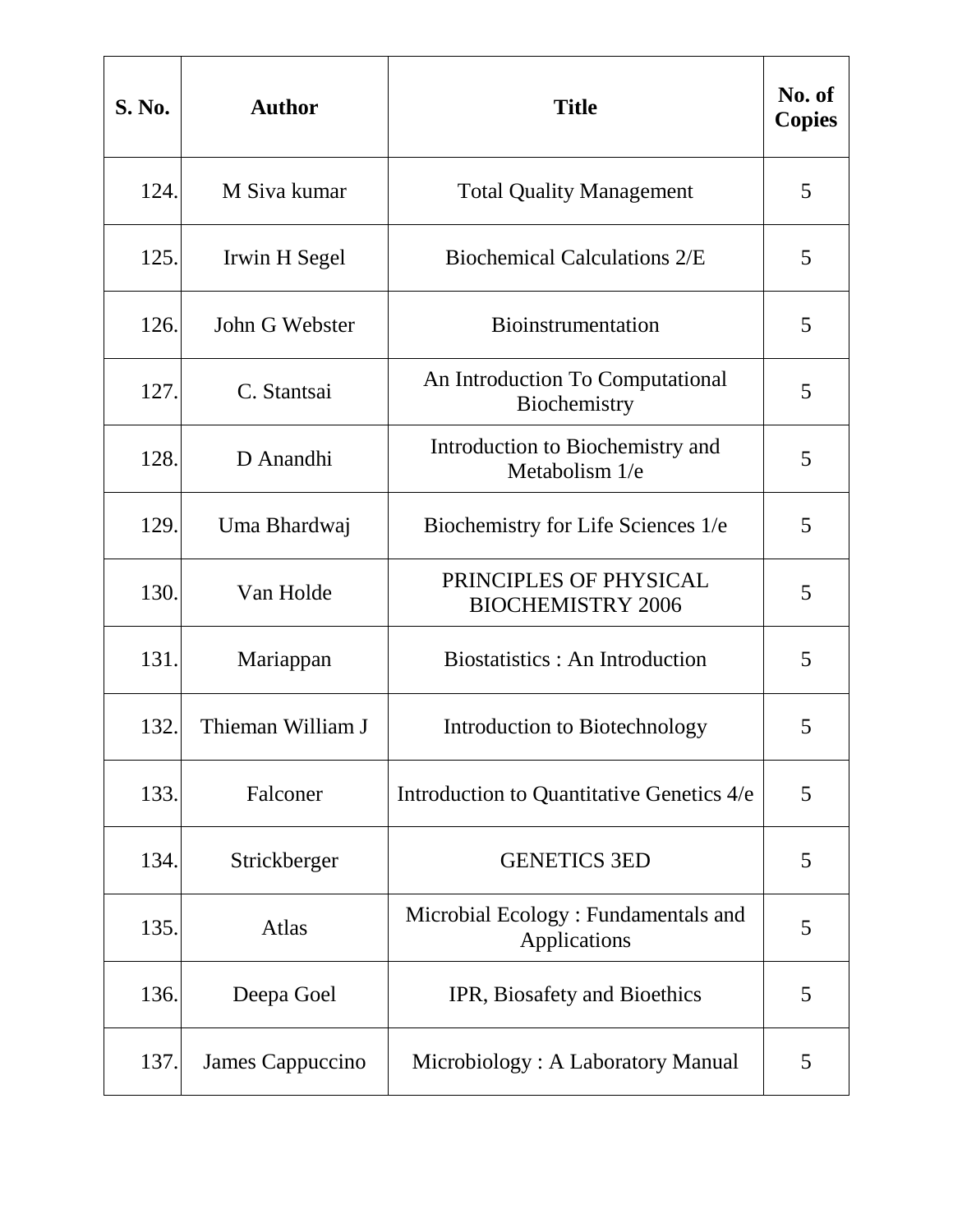| <b>S. No.</b> | <b>Author</b>     | <b>Title</b>                                        | No. of<br><b>Copies</b> |
|---------------|-------------------|-----------------------------------------------------|-------------------------|
| 124.          | M Siva kumar      | <b>Total Quality Management</b>                     | 5                       |
| 125.          | Irwin H Segel     | <b>Biochemical Calculations 2/E</b>                 | 5                       |
| 126.          | John G Webster    | <b>Bioinstrumentation</b>                           | 5                       |
| 127.          | C. Stantsai       | An Introduction To Computational<br>Biochemistry    | 5                       |
| 128.          | D Anandhi         | Introduction to Biochemistry and<br>Metabolism 1/e  | 5                       |
| 129.          | Uma Bhardwaj      | Biochemistry for Life Sciences 1/e                  | 5                       |
| 130.          | Van Holde         | PRINCIPLES OF PHYSICAL<br><b>BIOCHEMISTRY 2006</b>  | 5                       |
| 131.          | Mariappan         | Biostatistics: An Introduction                      | 5                       |
| 132.          | Thieman William J | Introduction to Biotechnology                       | 5                       |
| 133.          | Falconer          | Introduction to Quantitative Genetics 4/e           | 5                       |
| 134.          | Strickberger      | <b>GENETICS 3ED</b>                                 | 5                       |
| 135.          | Atlas             | Microbial Ecology: Fundamentals and<br>Applications | 5                       |
| 136.          | Deepa Goel        | IPR, Biosafety and Bioethics                        | 5                       |
| 137.          | James Cappuccino  | Microbiology: A Laboratory Manual                   | 5                       |